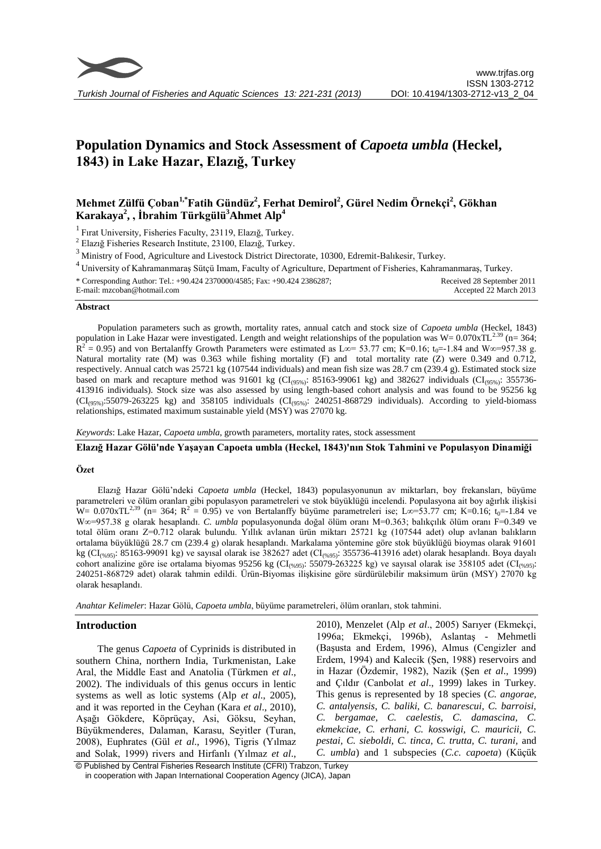

# **Population Dynamics and Stock Assessment of** *Capoeta umbla* **(Heckel, 1843) in Lake Hazar, Elazığ, Turkey**

## **Mehmet Zülfü Çoban1,\*Fatih Gündüz<sup>2</sup> , Ferhat Demirol<sup>2</sup> , Gürel Nedim Örnekçi<sup>2</sup> , Gökhan Karakaya<sup>2</sup> , , İbrahim Türkgülü<sup>3</sup>Ahmet Alp<sup>4</sup>**

<sup>1</sup> Fırat University, Fisheries Faculty, 23119, Elazığ, Turkey.

<sup>2</sup> Elazığ Fisheries Research Institute, 23100, Elazığ, Turkey.

<sup>3</sup> Ministry of Food, Agriculture and Livestock District Directorate, 10300, Edremit-Balıkesir, Turkey.

<sup>4</sup>University of Kahramanmaraş Sütçü Imam, Faculty of Agriculture, Department of Fisheries, Kahramanmaraş, Turkey.

\* Corresponding Author: Tel.: +90.424 2370000/4585; Fax: +90.424 2386287; E-mail: mzcoban@hotmail.com Received 28 September 2011 Accepted 22 March 2013

#### **Abstract**

Population parameters such as growth, mortality rates, annual catch and stock size of *Capoeta umbla* (Heckel, 1843) population in Lake Hazar were investigated. Length and weight relationships of the population was  $W = 0.070xTL^{2.39}$  (n= 364;  $R^2$  = 0.95) and von Bertalanffy Growth Parameters were estimated as L∞= 53.77 cm; K=0.16; t<sub>0</sub>=-1.84 and W∞=957.38 g. Natural mortality rate (M) was 0.363 while fishing mortality (F) and total mortality rate (Z) were 0.349 and 0.712, respectively. Annual catch was 25721 kg (107544 individuals) and mean fish size was 28.7 cm (239.4 g). Estimated stock size based on mark and recapture method was 91601 kg (CI<sub>(95%)</sub>: 85163-99061 kg) and 382627 individuals (CI<sub>(95%)</sub>: 355736-413916 individuals). Stock size was also assessed by using length-based cohort analysis and was found to be 95256 kg  $(CI_{(95\%)}:55079-263225$  kg) and 358105 individuals  $(CI_{(95\%)}: 240251-868729$  individuals). According to yield-biomass relationships, estimated maximum sustainable yield (MSY) was 27070 kg.

*Keywords*: Lake Hazar, *Capoeta umbla*, growth parameters, mortality rates, stock assessment

**Elazığ Hazar Gölü'nde Yaşayan Capoeta umbla (Heckel, 1843)'nın Stok Tahmini ve Populasyon Dinamiği**

#### **Özet**

Elazığ Hazar Gölü'ndeki *Capoeta umbla* (Heckel, 1843) populasyonunun av miktarları, boy frekansları, büyüme parametreleri ve ölüm oranları gibi populasyon parametreleri ve stok büyüklüğü incelendi. Populasyona ait boy ağırlık ilişkisi  $W = 0.070xTL^{2,39}$  (n= 364; R<sup>2</sup> = 0.95) ve von Bertalanffy büyüme parametreleri ise; L∞=53.77 cm; K=0.16; t<sub>0</sub>=-1.84 ve W∞=957.38 g olarak hesaplandı. *C. umbla* populasyonunda doğal ölüm oranı M=0.363; balıkçılık ölüm oranı F=0.349 ve total ölüm oranı Z=0.712 olarak bulundu. Yıllık avlanan ürün miktarı 25721 kg (107544 adet) olup avlanan balıkların ortalama büyüklüğü 28.7 cm (239.4 g) olarak hesaplandı. Markalama yöntemine göre stok büyüklüğü bioymas olarak 91601 kg (CI<sub>(%95)</sub>: 85163-99091 kg) ve sayısal olarak ise 382627 adet (CI<sub>(%95)</sub>: 355736-413916 adet) olarak hesaplandı. Boya dayalı cohort analizine göre ise ortalama biyomas 95256 kg (CI<sub>(%95)</sub>: 55079-263225 kg) ve sayısal olarak ise 358105 adet (CI<sub>(%95)</sub>: 240251-868729 adet) olarak tahmin edildi. Ürün-Biyomas ilişkisine göre sürdürülebilir maksimum ürün (MSY) 27070 kg olarak hesaplandı.

*Anahtar Kelimeler*: Hazar Gölü, *Capoeta umbla*, büyüme parametreleri, ölüm oranları, stok tahmini.

#### **Introduction**

The genus *Capoeta* of Cyprinids is distributed in southern China, northern India, Turkmenistan, Lake Aral, the Middle East and Anatolia (Türkmen *et al*., 2002). The individuals of this genus occurs in lentic systems as well as lotic systems (Alp *et al*., 2005), and it was reported in the Ceyhan (Kara *et al*., 2010), Aşağı Gökdere, Köprüçay, Asi, Göksu, Seyhan, Büyükmenderes, Dalaman, Karasu, Seyitler (Turan, 2008), Euphrates (Gül *et al*., 1996), Tigris (Yılmaz and Solak, 1999) rivers and Hirfanlı (Yılmaz *et al*.,

2010), Menzelet (Alp *et al*., 2005) Sarıyer (Ekmekçi, 1996a; Ekmekçi, 1996b), Aslantaş - Mehmetli (Başusta and Erdem, 1996), Almus (Cengizler and Erdem, 1994) and Kalecik (Şen, 1988) reservoirs and in Hazar (Özdemir, 1982), Nazik (Şen *et al*., 1999) and Çıldır (Canbolat *et al*., 1999) lakes in Turkey. This genus is represented by 18 species (*C. angorae, C. antalyensis, C. baliki, C. banarescui, C. barroisi, C. bergamae, C. caelestis, C. damascina, C. ekmekciae, C. erhani, C. kosswigi, C. mauricii, C. pestai, C. sieboldi, C. tinca, C. trutta, C. turani,* and *C. umbla*) and 1 subspecies (*C.c. capoeta*) (Küçük

© Published by Central Fisheries Research Institute (CFRI) Trabzon, Turkey in cooperation with Japan International Cooperation Agency (JICA), Japan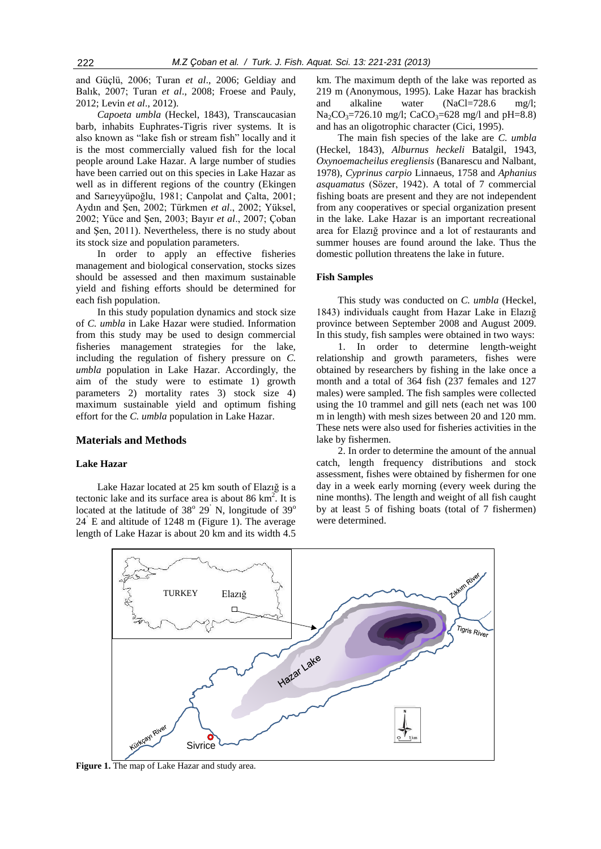and Güçlü, 2006; Turan *et al*., 2006; Geldiay and Balık, 2007; Turan *et al*., 2008; Froese and Pauly, 2012; Levin *et al*., 2012).

*Capoeta umbla* (Heckel, 1843)*,* Transcaucasian barb, inhabits Euphrates-Tigris river systems. It is also known as "lake fish or stream fish" locally and it is the most commercially valued fish for the local people around Lake Hazar. A large number of studies have been carried out on this species in Lake Hazar as well as in different regions of the country (Ekingen and Sarıeyyüpoğlu, 1981; Canpolat and Çalta, 2001; Aydın and Şen, 2002; Türkmen *et al*., 2002; Yüksel, 2002; Yüce and Şen, 2003; Bayır *et al*., 2007; Çoban and Şen, 2011). Nevertheless, there is no study about its stock size and population parameters.

In order to apply an effective fisheries management and biological conservation, stocks sizes should be assessed and then maximum sustainable yield and fishing efforts should be determined for each fish population.

In this study population dynamics and stock size of *C. umbla* in Lake Hazar were studied. Information from this study may be used to design commercial fisheries management strategies for the lake, including the regulation of fishery pressure on *C. umbla* population in Lake Hazar. Accordingly, the aim of the study were to estimate 1) growth parameters 2) mortality rates 3) stock size 4) maximum sustainable yield and optimum fishing effort for the *C. umbla* population in Lake Hazar.

## **Materials and Methods**

#### **Lake Hazar**

Lake Hazar located at 25 km south of Elazığ is a tectonic lake and its surface area is about 86  $\text{km}^2$ . It is located at the latitude of  $38^{\circ}$  29<sup>'</sup> N, longitude of  $39^{\circ}$ 24' E and altitude of 1248 m (Figure 1). The average length of Lake Hazar is about 20 km and its width 4.5

km. The maximum depth of the lake was reported as 219 m (Anonymous, 1995). Lake Hazar has brackish and alkaline water (NaCl=728.6 mg/l;  $Na_2CO_3 = 726.10$  mg/l; CaCO<sub>3</sub>=628 mg/l and pH=8.8) and has an oligotrophic character (Cici, 1995).

The main fish species of the lake are *C. umbla*  (Heckel, 1843), *Alburnus heckeli* Batalgil, 1943, *Oxynoemacheilus eregliensis* (Banarescu and Nalbant, 1978), *Cyprinus carpio* Linnaeus, 1758 and *Aphanius asquamatus* (Sözer, 1942). A total of 7 commercial fishing boats are present and they are not independent from any cooperatives or special organization present in the lake. Lake Hazar is an important recreational area for Elazığ province and a lot of restaurants and summer houses are found around the lake. Thus the domestic pollution threatens the lake in future.

#### **Fish Samples**

This study was conducted on *C. umbla* (Heckel, 1843) individuals caught from Hazar Lake in Elazığ province between September 2008 and August 2009. In this study, fish samples were obtained in two ways:

1. In order to determine length-weight relationship and growth parameters, fishes were obtained by researchers by fishing in the lake once a month and a total of 364 fish (237 females and 127 males) were sampled. The fish samples were collected using the 10 trammel and gill nets (each net was 100 m in length) with mesh sizes between 20 and 120 mm. These nets were also used for fisheries activities in the lake by fishermen.

2. In order to determine the amount of the annual catch, length frequency distributions and stock assessment, fishes were obtained by fishermen for one day in a week early morning (every week during the nine months). The length and weight of all fish caught by at least 5 of fishing boats (total of 7 fishermen) were determined.



**Figure 1.** The map of Lake Hazar and study area.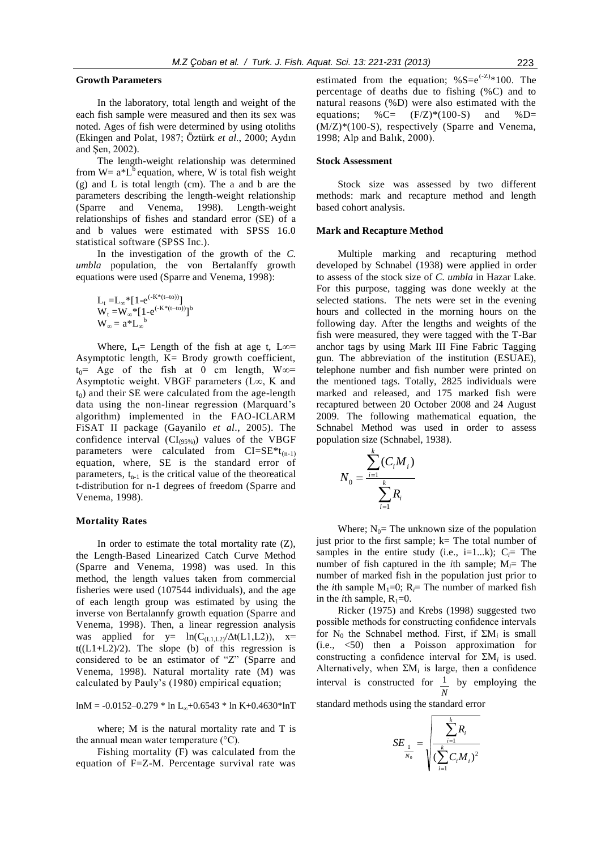### **Growth Parameters**

In the laboratory, total length and weight of the each fish sample were measured and then its sex was noted. Ages of fish were determined by using otoliths (Ekingen and Polat, 1987; Öztürk *et al*., 2000; Aydın and Şen, 2002).

The length-weight relationship was determined from  $W = a * L<sup>b</sup>$  equation, where, W is total fish weight (g) and L is total length (cm). The a and b are the parameters describing the length-weight relationship (Sparre and Venema, 1998). Length-weight relationships of fishes and standard error (SE) of a and b values were estimated with SPSS 16.0 statistical software (SPSS Inc.).

In the investigation of the growth of the *C. umbla* population, the von Bertalanffy growth equations were used (Sparre and Venema, 1998):

L<sup>t</sup> =L∞\*[1-e (-K\*(t–to))] W<sup>t</sup> =W∞\*[1-e (-K\*(t–to))] b W∞ = a\*L<sup>∞</sup> b

Where,  $L_t$ = Length of the fish at age t, L $\infty$ = Asymptotic length, K= Brody growth coefficient,  $t_0$ = Age of the fish at 0 cm length, W∞= Asymptotic weight. VBGF parameters (L∞, K and  $t<sub>0</sub>$ ) and their SE were calculated from the age-length data using the non-linear regression (Marquard's algorithm) implemented in the FAO-ICLARM FiSAT II package (Gayanilo *et al*., 2005). The confidence interval  $(Cl_{(95\%)})$  values of the VBGF parameters were calculated from  $CI=SE*t_{(n-1)}$ equation, where, SE is the standard error of parameters,  $t_{n-1}$  is the critical value of the theoreatical t-distribution for n-1 degrees of freedom (Sparre and Venema, 1998).

#### **Mortality Rates**

In order to estimate the total mortality rate  $(Z)$ , the Length-Based Linearized Catch Curve Method (Sparre and Venema, 1998) was used. In this method, the length values taken from commercial fisheries were used (107544 individuals), and the age of each length group was estimated by using the inverse von Bertalannfy growth equation (Sparre and Venema, 1998). Then, a linear regression analysis was applied for  $y = \ln(C_{(L1,L2)}/\Delta t(L1,L2))$ ,  $x=$  $t((L1+L2)/2)$ . The slope (b) of this regression is considered to be an estimator of "Z" (Sparre and Venema, 1998). Natural mortality rate (M) was calculated by Pauly's (1980) empirical equation;

lnM = -0.0152–0.279 \* ln L<sub>∞</sub>+0.6543 \* ln K+0.4630\*lnT

where; M is the natural mortality rate and T is the annual mean water temperature  $({}^{\circ}C)$ .

Fishing mortality (F) was calculated from the equation of F=Z-M. Percentage survival rate was estimated from the equation;  $% S=e^{(-Z)}*100$ . The percentage of deaths due to fishing (%C) and to natural reasons (%D) were also estimated with the equations;  $\%C = (F/Z)*(100-S)$  and  $\%D =$ (M/Z)\*(100-S), respectively (Sparre and Venema, 1998; Alp and Balık, 2000).

#### **Stock Assessment**

Stock size was assessed by two different methods: mark and recapture method and length based cohort analysis.

#### **Mark and Recapture Method**

Multiple marking and recapturing method developed by Schnabel (1938) were applied in order to assess of the stock size of *C. umbla* in Hazar Lake. For this purpose, tagging was done weekly at the selected stations. The nets were set in the evening hours and collected in the morning hours on the following day. After the lengths and weights of the fish were measured, they were tagged with the T-Bar anchor tags by using Mark III Fine Fabric Tagging gun. The abbreviation of the institution (ESUAE), telephone number and fish number were printed on the mentioned tags. Totally, 2825 individuals were marked and released, and 175 marked fish were recaptured between 20 October 2008 and 24 August 2009. The following mathematical equation, the Schnabel Method was used in order to assess population size (Schnabel, 1938).

$$
N_0 = \frac{\sum_{i=1}^k (C_i M_i)}{\sum_{i=1}^k R_i}
$$

Where;  $N_0$ = The unknown size of the population just prior to the first sample;  $k=$  The total number of samples in the entire study (i.e.,  $i=1...k$ );  $C_i$ = The number of fish captured in the *i*th sample;  $M_i$ = The number of marked fish in the population just prior to the *i*th sample  $M_1=0$ ;  $R_i=$  The number of marked fish in the *i*th sample,  $R_1=0$ .

Ricker (1975) and Krebs (1998) suggested two possible methods for constructing confidence intervals for  $N_0$  the Schnabel method. First, if  $\Sigma M_i$  is small (i.e., <50) then a Poisson approximation for constructing a confidence interval for  $\Sigma M_i$  is used. Alternatively, when  $\Sigma M_i$  is large, then a confidence interval is constructed for *N*  $\frac{1}{\sqrt{2}}$  by employing the

standard methods using the standard error

$$
SE_{\frac{1}{N_0}} = \sqrt{\frac{\sum_{i=1}^{k} R_i}{\left(\sum_{i=1}^{k} C_i M_i\right)^2}}
$$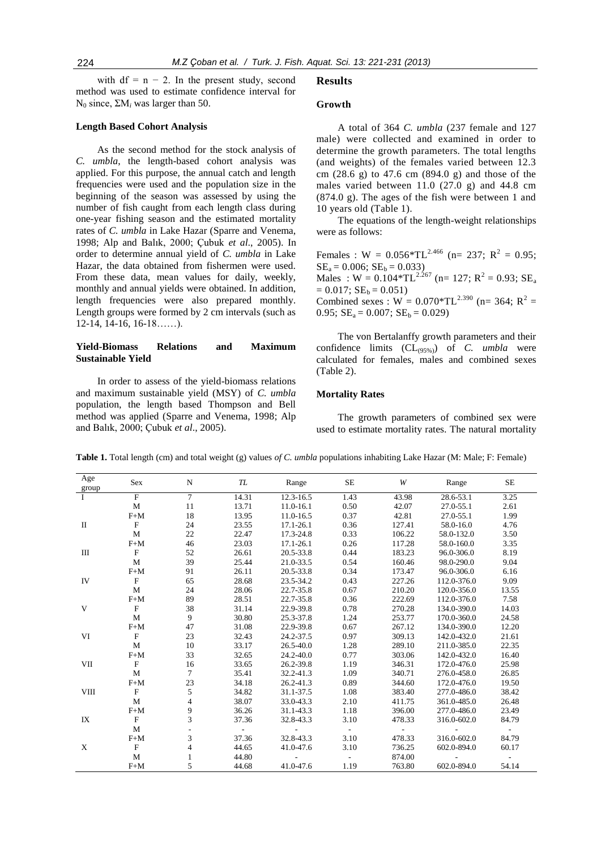with  $df = n - 2$ . In the present study, second method was used to estimate confidence interval for  $N_0$  since,  $ΣM_i$  was larger than 50.

#### **Length Based Cohort Analysis**

As the second method for the stock analysis of *C. umbla*, the length-based cohort analysis was applied. For this purpose, the annual catch and length frequencies were used and the population size in the beginning of the season was assessed by using the number of fish caught from each length class during one-year fishing season and the estimated mortality rates of *C. umbla* in Lake Hazar (Sparre and Venema, 1998; Alp and Balık, 2000; Çubuk *et al*., 2005). In order to determine annual yield of *C. umbla* in Lake Hazar, the data obtained from fishermen were used. From these data, mean values for daily, weekly, monthly and annual yields were obtained. In addition, length frequencies were also prepared monthly. Length groups were formed by 2 cm intervals (such as 12-14, 14-16, 16-18……).

## **Yield-Biomass Relations and Maximum Sustainable Yield**

In order to assess of the yield-biomass relations and maximum sustainable yield (MSY) of *C. umbla* population, the length based Thompson and Bell method was applied (Sparre and Venema, 1998; Alp and Balık, 2000; Çubuk *et al*., 2005).

#### **Results**

#### **Growth**

A total of 364 *C. umbla* (237 female and 127 male) were collected and examined in order to determine the growth parameters. The total lengths (and weights) of the females varied between 12.3 cm (28.6 g) to 47.6 cm (894.0 g) and those of the males varied between 11.0 (27.0 g) and 44.8 cm (874.0 g). The ages of the fish were between 1 and 10 years old (Table 1).

The equations of the length-weight relationships were as follows:

Females : W =  $0.056 \times T L^{2.466}$  (n= 237; R<sup>2</sup> = 0.95;  $SE_a = 0.006$ ;  $SE_b = 0.033$ ) Males :  $W = 0.104 * TL^{2.267}$  (n= 127;  $R^2 = 0.93$ ;  $SE_a$  $= 0.017$ ;  $SE_b = 0.051$ ) Combined sexes :  $W = 0.070 * TL^{2.390}$  (n= 364; R<sup>2</sup> = 0.95;  $SE_a = 0.007$ ;  $SE_b = 0.029$ )

The von Bertalanffy growth parameters and their confidence limits (CL(95%)) of *C. umbla* were calculated for females, males and combined sexes (Table 2).

#### **Mortality Rates**

The growth parameters of combined sex were used to estimate mortality rates. The natural mortality

| Age<br>group | <b>Sex</b>     | N              | TL              | Range         | <b>SE</b>      | W          | Range       | <b>SE</b>  |
|--------------|----------------|----------------|-----------------|---------------|----------------|------------|-------------|------------|
|              | $\overline{F}$ | $\overline{7}$ | 14.31           | 12.3-16.5     | 1.43           | 43.98      | 28.6-53.1   | 3.25       |
|              | M              | 11             | 13.71           | 11.0-16.1     | 0.50           | 42.07      | 27.0-55.1   | 2.61       |
|              | $F+M$          | 18             | 13.95           | 11.0-16.5     | 0.37           | 42.81      | 27.0-55.1   | 1.99       |
| $\rm II$     | $\mathbf F$    | 24             | 23.55           | $17.1 - 26.1$ | 0.36           | 127.41     | 58.0-16.0   | 4.76       |
|              | M              | 22             | 22.47           | 17.3-24.8     | 0.33           | 106.22     | 58.0-132.0  | 3.50       |
|              | $F+M$          | 46             | 23.03           | $17.1 - 26.1$ | 0.26           | 117.28     | 58.0-160.0  | 3.35       |
| Ш            | $\mathbf F$    | 52             | 26.61           | 20.5-33.8     | 0.44           | 183.23     | 96.0-306.0  | 8.19       |
|              | M              | 39             | 25.44           | 21.0-33.5     | 0.54           | 160.46     | 98.0-290.0  | 9.04       |
|              | $F+M$          | 91             | 26.11           | 20.5-33.8     | 0.34           | 173.47     | 96.0-306.0  | 6.16       |
| IV           | $\mathbf F$    | 65             | 28.68           | 23.5-34.2     | 0.43           | 227.26     | 112.0-376.0 | 9.09       |
|              | $\mathbf{M}$   | 24             | 28.06           | 22.7-35.8     | 0.67           | 210.20     | 120.0-356.0 | 13.55      |
|              | $F+M$          | 89             | 28.51           | 22.7-35.8     | 0.36           | 222.69     | 112.0-376.0 | 7.58       |
| V            | $\mathbf F$    | 38             | 31.14           | 22.9-39.8     | 0.78           | 270.28     | 134.0-390.0 | 14.03      |
|              | $\mathbf{M}$   | 9              | 30.80           | 25.3-37.8     | 1.24           | 253.77     | 170.0-360.0 | 24.58      |
|              | $F+M$          | 47             | 31.08           | 22.9-39.8     | 0.67           | 267.12     | 134.0-390.0 | 12.20      |
| VI           | $\mathbf F$    | 23             | 32.43           | 24.2-37.5     | 0.97           | 309.13     | 142.0-432.0 | 21.61      |
|              | M              | 10             | 33.17           | 26.5-40.0     | 1.28           | 289.10     | 211.0-385.0 | 22.35      |
|              | $F+M$          | 33             | 32.65           | 24.2-40.0     | 0.77           | 303.06     | 142.0-432.0 | 16.40      |
| VII          | $\mathbf{F}$   | 16             | 33.65           | 26.2-39.8     | 1.19           | 346.31     | 172.0-476.0 | 25.98      |
|              | $\mathbf M$    | $\overline{7}$ | 35.41           | 32.2-41.3     | 1.09           | 340.71     | 276.0-458.0 | 26.85      |
|              | $F+M$          | 23             | 34.18           | 26.2-41.3     | 0.89           | 344.60     | 172.0-476.0 | 19.50      |
| <b>VIII</b>  | $\mathbf F$    | 5              | 34.82           | 31.1-37.5     | 1.08           | 383.40     | 277.0-486.0 | 38.42      |
|              | M              | 4              | 38.07           | 33.0-43.3     | 2.10           | 411.75     | 361.0-485.0 | 26.48      |
|              | $F+M$          | 9              | 36.26           | 31.1-43.3     | 1.18           | 396.00     | 277.0-486.0 | 23.49      |
| IX           | $\mathbf{F}$   | 3              | 37.36           | 32.8-43.3     | 3.10           | 478.33     | 316.0-602.0 | 84.79      |
|              | M              |                | $\sim$ 10 $\pm$ |               | $\sim$         | $\sim 100$ |             | $\sim 100$ |
|              | $F+M$          | 3              | 37.36           | 32.8-43.3     | 3.10           | 478.33     | 316.0-602.0 | 84.79      |
| X            | $\mathbf F$    | 4              | 44.65           | 41.0-47.6     | 3.10           | 736.25     | 602.0-894.0 | 60.17      |
|              | M              |                | 44.80           |               | $\overline{a}$ | 874.00     |             |            |
|              | $F+M$          | 5              | 44.68           | 41.0-47.6     | 1.19           | 763.80     | 602.0-894.0 | 54.14      |

**Table 1.** Total length (cm) and total weight (g) values *of C. umbla* populations inhabiting Lake Hazar (M: Male; F: Female)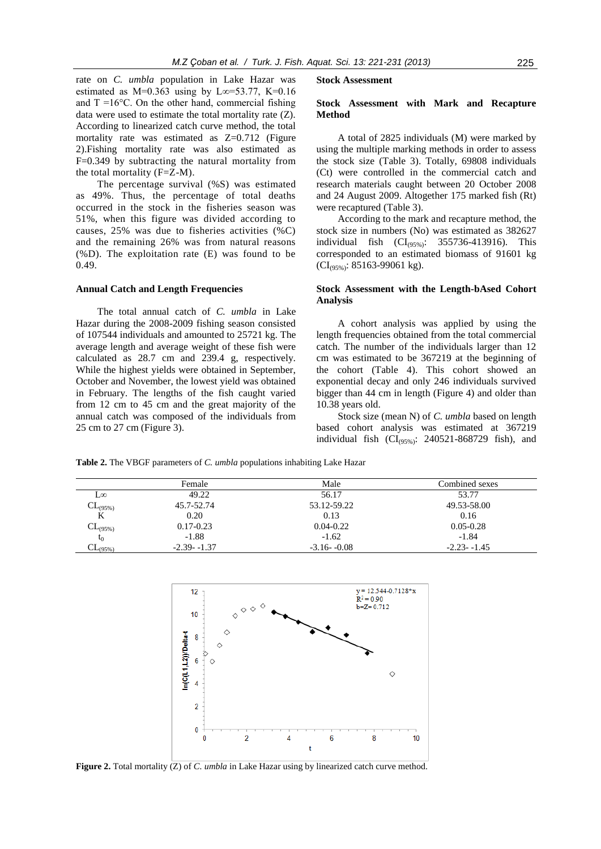rate on *C. umbla* population in Lake Hazar was estimated as M=0.363 using by L∞=53.77, K=0.16 and  $T = 16^{\circ}$ C. On the other hand, commercial fishing data were used to estimate the total mortality rate (Z). According to linearized catch curve method, the total mortality rate was estimated as  $Z=0.712$  (Figure 2).Fishing mortality rate was also estimated as F=0.349 by subtracting the natural mortality from the total mortality (F=Z-M).

The percentage survival (%S) was estimated as 49%. Thus, the percentage of total deaths occurred in the stock in the fisheries season was 51%, when this figure was divided according to causes, 25% was due to fisheries activities (%C) and the remaining 26% was from natural reasons (%D). The exploitation rate (E) was found to be 0.49.

#### **Annual Catch and Length Frequencies**

The total annual catch of *C. umbla* in Lake Hazar during the 2008-2009 fishing season consisted of 107544 individuals and amounted to 25721 kg. The average length and average weight of these fish were calculated as 28.7 cm and 239.4 g, respectively. While the highest yields were obtained in September, October and November, the lowest yield was obtained in February. The lengths of the fish caught varied from 12 cm to 45 cm and the great majority of the annual catch was composed of the individuals from 25 cm to 27 cm (Figure 3).

#### **Stock Assessment**

## **Stock Assessment with Mark and Recapture Method**

A total of 2825 individuals (M) were marked by using the multiple marking methods in order to assess the stock size (Table 3). Totally, 69808 individuals (Ct) were controlled in the commercial catch and research materials caught between 20 October 2008 and 24 August 2009. Altogether 175 marked fish (Rt) were recaptured (Table 3).

According to the mark and recapture method, the stock size in numbers (No) was estimated as 382627 individual fish  $(Cl_{(95\%)}$ : 355736-413916). This corresponded to an estimated biomass of 91601 kg  $(Cl_{(95\%)}$ : 85163-99061 kg).

## **Stock Assessment with the Length-bAsed Cohort Analysis**

A cohort analysis was applied by using the length frequencies obtained from the total commercial catch. The number of the individuals larger than 12 cm was estimated to be 367219 at the beginning of the cohort (Table 4). This cohort showed an exponential decay and only 246 individuals survived bigger than 44 cm in length (Figure 4) and older than 10.38 years old.

Stock size (mean N) of *C. umbla* based on length based cohort analysis was estimated at 367219 individual fish  $(Cl<sub>(95%)</sub>: 240521-868729$  fish), and

**Table 2.** The VBGF parameters of *C. umbla* populations inhabiting Lake Hazar

|                        | Female         | Male           | Combined sexes |
|------------------------|----------------|----------------|----------------|
| L∞                     | 49.22          | 56.17          | 53.77          |
| $CL_{(95\%)}$          | 45.7-52.74     | 53.12-59.22    | 49.53-58.00    |
| K                      | 0.20           | 0.13           | 0.16           |
| $CL_{(95\%)}$          | $0.17 - 0.23$  | $0.04 - 0.22$  | $0.05 - 0.28$  |
| $t_0$                  | $-1.88$        | $-1.62$        | $-1.84$        |
| $\mathrm{CL_{(95\%)}}$ | $-2.39 - 1.37$ | $-3.16 - 0.08$ | $-2.23 - 1.45$ |



Figure 2. Total mortality (Z) of *C. umbla* in Lake Hazar using by linearized catch curve method.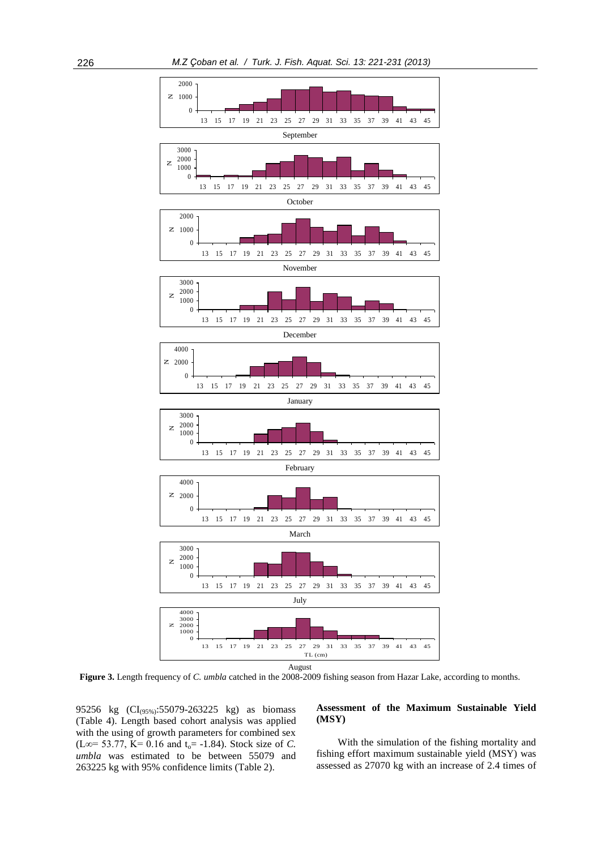

**Figure 3.** Length frequency of *C. umbla* catched in the 2008-2009 fishing season from Hazar Lake, according to months.

95256 kg (CI(95%):55079-263225 kg) as biomass (Table 4). Length based cohort analysis was applied with the using of growth parameters for combined sex  $(L\infty = 53.77, K = 0.16$  and  $t_0 = -1.84$ ). Stock size of *C*. *umbla* was estimated to be between 55079 and 263225 kg with 95% confidence limits (Table 2).

## **Assessment of the Maximum Sustainable Yield (MSY)**

With the simulation of the fishing mortality and fishing effort maximum sustainable yield (MSY) was assessed as 27070 kg with an increase of 2.4 times of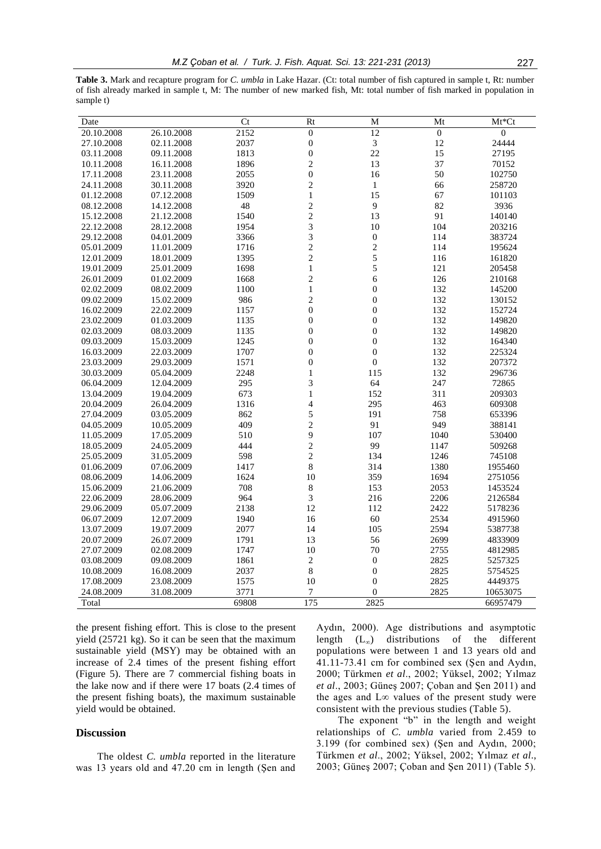**Table 3.** Mark and recapture program for *C. umbla* in Lake Hazar. (Ct: total number of fish captured in sample t, Rt: number of fish already marked in sample t, M: The number of new marked fish, Mt: total number of fish marked in population in sample t)

| 20.10.2008<br>26.10.2008<br>$\overline{3}$<br>12<br>27.10.2008<br>02.11.2008<br>2037<br>$\boldsymbol{0}$<br>24444<br>1813<br>22<br>27195<br>03.11.2008<br>09.11.2008<br>$\boldsymbol{0}$<br>15<br>$\mathbf{2}$<br>13<br>37<br>10.11.2008<br>16.11.2008<br>1896<br>70152<br>$\boldsymbol{0}$<br>2055<br>50<br>17.11.2008<br>23.11.2008<br>16<br>102750<br>3920<br>$\mathbf{2}$<br>258720<br>24.11.2008<br>30.11.2008<br>$\mathbf{1}$<br>66<br>1509<br>$\,1$<br>15<br>67<br>01.12.2008<br>07.12.2008<br>101103<br>$\overline{c}$<br>9<br>48<br>82<br>3936<br>08.12.2008<br>14.12.2008<br>$\overline{c}$<br>15.12.2008<br>21.12.2008<br>1540<br>13<br>91<br>140140<br>3<br>1954<br>22.12.2008<br>28.12.2008<br>10<br>104<br>203216<br>3<br>$\boldsymbol{0}$<br>29.12.2008<br>04.01.2009<br>3366<br>114<br>383724<br>$\overline{c}$<br>$\sqrt{2}$<br>05.01.2009<br>11.01.2009<br>1716<br>114<br>195624<br>$\overline{c}$<br>5<br>12.01.2009<br>18.01.2009<br>1395<br>116<br>161820<br>5<br>$\mathbf{1}$<br>19.01.2009<br>25.01.2009<br>1698<br>121<br>205458<br>01.02.2009<br>1668<br>$\overline{c}$<br>6<br>210168<br>26.01.2009<br>126<br>$\mathbf{1}$<br>08.02.2009<br>$\boldsymbol{0}$<br>132<br>02.02.2009<br>1100<br>145200<br>$\overline{c}$<br>$\boldsymbol{0}$<br>15.02.2009<br>986<br>132<br>09.02.2009<br>130152<br>22.02.2009<br>$\boldsymbol{0}$<br>$\boldsymbol{0}$<br>16.02.2009<br>1157<br>132<br>152724<br>23.02.2009<br>01.03.2009<br>1135<br>$\boldsymbol{0}$<br>$\boldsymbol{0}$<br>132<br>149820<br>$\boldsymbol{0}$<br>02.03.2009<br>08.03.2009<br>1135<br>$\mathbf{0}$<br>132<br>149820<br>$\boldsymbol{0}$<br>$\boldsymbol{0}$<br>09.03.2009<br>15.03.2009<br>1245<br>132<br>164340<br>1707<br>$\boldsymbol{0}$<br>$\boldsymbol{0}$<br>16.03.2009<br>22.03.2009<br>132<br>225324<br>$\boldsymbol{0}$<br>29.03.2009<br>1571<br>$\mathbf{0}$<br>207372<br>23.03.2009<br>132<br>30.03.2009<br>05.04.2009<br>2248<br>$\mathbf{1}$<br>115<br>132<br>296736<br>295<br>3<br>64<br>247<br>72865<br>06.04.2009<br>12.04.2009<br>19.04.2009<br>673<br>$\,1$<br>152<br>311<br>209303<br>13.04.2009<br>20.04.2009<br>26.04.2009<br>1316<br>4<br>295<br>463<br>609308<br>5<br>191<br>27.04.2009<br>03.05.2009<br>862<br>758<br>653396<br>$\overline{c}$<br>409<br>91<br>949<br>04.05.2009<br>10.05.2009<br>388141<br>11.05.2009<br>17.05.2009<br>510<br>9<br>107<br>530400<br>1040<br>$\overline{c}$<br>99<br>18.05.2009<br>24.05.2009<br>444<br>1147<br>509268<br>$\overline{c}$<br>598<br>25.05.2009<br>31.05.2009<br>134<br>1246<br>745108<br>8<br>07.06.2009<br>1417<br>314<br>1380<br>01.06.2009<br>1955460<br>359<br>08.06.2009<br>14.06.2009<br>1624<br>10<br>1694<br>2751056<br>8<br>21.06.2009<br>708<br>153<br>2053<br>15.06.2009<br>1453524<br>3<br>964<br>2206<br>22.06.2009<br>28.06.2009<br>216<br>2126584<br>05.07.2009<br>2138<br>12<br>112<br>2422<br>5178236<br>29.06.2009<br>60<br>06.07.2009<br>12.07.2009<br>1940<br>16<br>2534<br>4915960<br>19.07.2009<br>2077<br>2594<br>13.07.2009<br>14<br>105<br>5387738<br>1791<br>13<br>20.07.2009<br>26.07.2009<br>56<br>2699<br>4833909<br>02.08.2009<br>70<br>2755<br>27.07.2009<br>1747<br>10<br>4812985<br>$\overline{c}$<br>03.08.2009<br>09.08.2009<br>1861<br>$\boldsymbol{0}$<br>2825<br>5257325 | Date       |            | Ct   | Rt             | M                | Mt             | $Mt^*Ct$       |
|-------------------------------------------------------------------------------------------------------------------------------------------------------------------------------------------------------------------------------------------------------------------------------------------------------------------------------------------------------------------------------------------------------------------------------------------------------------------------------------------------------------------------------------------------------------------------------------------------------------------------------------------------------------------------------------------------------------------------------------------------------------------------------------------------------------------------------------------------------------------------------------------------------------------------------------------------------------------------------------------------------------------------------------------------------------------------------------------------------------------------------------------------------------------------------------------------------------------------------------------------------------------------------------------------------------------------------------------------------------------------------------------------------------------------------------------------------------------------------------------------------------------------------------------------------------------------------------------------------------------------------------------------------------------------------------------------------------------------------------------------------------------------------------------------------------------------------------------------------------------------------------------------------------------------------------------------------------------------------------------------------------------------------------------------------------------------------------------------------------------------------------------------------------------------------------------------------------------------------------------------------------------------------------------------------------------------------------------------------------------------------------------------------------------------------------------------------------------------------------------------------------------------------------------------------------------------------------------------------------------------------------------------------------------------------------------------------------------------------------------------------------------------------------------------------------------------------------------------------------------------------------------------------------------------------------------------------------------------------------------------------------------------------------------------------------------------------------------------------------------------------------------------------------------------------------------------------------------------------------------------------------------------------|------------|------------|------|----------------|------------------|----------------|----------------|
|                                                                                                                                                                                                                                                                                                                                                                                                                                                                                                                                                                                                                                                                                                                                                                                                                                                                                                                                                                                                                                                                                                                                                                                                                                                                                                                                                                                                                                                                                                                                                                                                                                                                                                                                                                                                                                                                                                                                                                                                                                                                                                                                                                                                                                                                                                                                                                                                                                                                                                                                                                                                                                                                                                                                                                                                                                                                                                                                                                                                                                                                                                                                                                                                                                                                               |            |            | 2152 | $\overline{0}$ | $\overline{12}$  | $\overline{0}$ | $\overline{0}$ |
|                                                                                                                                                                                                                                                                                                                                                                                                                                                                                                                                                                                                                                                                                                                                                                                                                                                                                                                                                                                                                                                                                                                                                                                                                                                                                                                                                                                                                                                                                                                                                                                                                                                                                                                                                                                                                                                                                                                                                                                                                                                                                                                                                                                                                                                                                                                                                                                                                                                                                                                                                                                                                                                                                                                                                                                                                                                                                                                                                                                                                                                                                                                                                                                                                                                                               |            |            |      |                |                  |                |                |
|                                                                                                                                                                                                                                                                                                                                                                                                                                                                                                                                                                                                                                                                                                                                                                                                                                                                                                                                                                                                                                                                                                                                                                                                                                                                                                                                                                                                                                                                                                                                                                                                                                                                                                                                                                                                                                                                                                                                                                                                                                                                                                                                                                                                                                                                                                                                                                                                                                                                                                                                                                                                                                                                                                                                                                                                                                                                                                                                                                                                                                                                                                                                                                                                                                                                               |            |            |      |                |                  |                |                |
|                                                                                                                                                                                                                                                                                                                                                                                                                                                                                                                                                                                                                                                                                                                                                                                                                                                                                                                                                                                                                                                                                                                                                                                                                                                                                                                                                                                                                                                                                                                                                                                                                                                                                                                                                                                                                                                                                                                                                                                                                                                                                                                                                                                                                                                                                                                                                                                                                                                                                                                                                                                                                                                                                                                                                                                                                                                                                                                                                                                                                                                                                                                                                                                                                                                                               |            |            |      |                |                  |                |                |
|                                                                                                                                                                                                                                                                                                                                                                                                                                                                                                                                                                                                                                                                                                                                                                                                                                                                                                                                                                                                                                                                                                                                                                                                                                                                                                                                                                                                                                                                                                                                                                                                                                                                                                                                                                                                                                                                                                                                                                                                                                                                                                                                                                                                                                                                                                                                                                                                                                                                                                                                                                                                                                                                                                                                                                                                                                                                                                                                                                                                                                                                                                                                                                                                                                                                               |            |            |      |                |                  |                |                |
|                                                                                                                                                                                                                                                                                                                                                                                                                                                                                                                                                                                                                                                                                                                                                                                                                                                                                                                                                                                                                                                                                                                                                                                                                                                                                                                                                                                                                                                                                                                                                                                                                                                                                                                                                                                                                                                                                                                                                                                                                                                                                                                                                                                                                                                                                                                                                                                                                                                                                                                                                                                                                                                                                                                                                                                                                                                                                                                                                                                                                                                                                                                                                                                                                                                                               |            |            |      |                |                  |                |                |
|                                                                                                                                                                                                                                                                                                                                                                                                                                                                                                                                                                                                                                                                                                                                                                                                                                                                                                                                                                                                                                                                                                                                                                                                                                                                                                                                                                                                                                                                                                                                                                                                                                                                                                                                                                                                                                                                                                                                                                                                                                                                                                                                                                                                                                                                                                                                                                                                                                                                                                                                                                                                                                                                                                                                                                                                                                                                                                                                                                                                                                                                                                                                                                                                                                                                               |            |            |      |                |                  |                |                |
|                                                                                                                                                                                                                                                                                                                                                                                                                                                                                                                                                                                                                                                                                                                                                                                                                                                                                                                                                                                                                                                                                                                                                                                                                                                                                                                                                                                                                                                                                                                                                                                                                                                                                                                                                                                                                                                                                                                                                                                                                                                                                                                                                                                                                                                                                                                                                                                                                                                                                                                                                                                                                                                                                                                                                                                                                                                                                                                                                                                                                                                                                                                                                                                                                                                                               |            |            |      |                |                  |                |                |
|                                                                                                                                                                                                                                                                                                                                                                                                                                                                                                                                                                                                                                                                                                                                                                                                                                                                                                                                                                                                                                                                                                                                                                                                                                                                                                                                                                                                                                                                                                                                                                                                                                                                                                                                                                                                                                                                                                                                                                                                                                                                                                                                                                                                                                                                                                                                                                                                                                                                                                                                                                                                                                                                                                                                                                                                                                                                                                                                                                                                                                                                                                                                                                                                                                                                               |            |            |      |                |                  |                |                |
|                                                                                                                                                                                                                                                                                                                                                                                                                                                                                                                                                                                                                                                                                                                                                                                                                                                                                                                                                                                                                                                                                                                                                                                                                                                                                                                                                                                                                                                                                                                                                                                                                                                                                                                                                                                                                                                                                                                                                                                                                                                                                                                                                                                                                                                                                                                                                                                                                                                                                                                                                                                                                                                                                                                                                                                                                                                                                                                                                                                                                                                                                                                                                                                                                                                                               |            |            |      |                |                  |                |                |
|                                                                                                                                                                                                                                                                                                                                                                                                                                                                                                                                                                                                                                                                                                                                                                                                                                                                                                                                                                                                                                                                                                                                                                                                                                                                                                                                                                                                                                                                                                                                                                                                                                                                                                                                                                                                                                                                                                                                                                                                                                                                                                                                                                                                                                                                                                                                                                                                                                                                                                                                                                                                                                                                                                                                                                                                                                                                                                                                                                                                                                                                                                                                                                                                                                                                               |            |            |      |                |                  |                |                |
|                                                                                                                                                                                                                                                                                                                                                                                                                                                                                                                                                                                                                                                                                                                                                                                                                                                                                                                                                                                                                                                                                                                                                                                                                                                                                                                                                                                                                                                                                                                                                                                                                                                                                                                                                                                                                                                                                                                                                                                                                                                                                                                                                                                                                                                                                                                                                                                                                                                                                                                                                                                                                                                                                                                                                                                                                                                                                                                                                                                                                                                                                                                                                                                                                                                                               |            |            |      |                |                  |                |                |
|                                                                                                                                                                                                                                                                                                                                                                                                                                                                                                                                                                                                                                                                                                                                                                                                                                                                                                                                                                                                                                                                                                                                                                                                                                                                                                                                                                                                                                                                                                                                                                                                                                                                                                                                                                                                                                                                                                                                                                                                                                                                                                                                                                                                                                                                                                                                                                                                                                                                                                                                                                                                                                                                                                                                                                                                                                                                                                                                                                                                                                                                                                                                                                                                                                                                               |            |            |      |                |                  |                |                |
|                                                                                                                                                                                                                                                                                                                                                                                                                                                                                                                                                                                                                                                                                                                                                                                                                                                                                                                                                                                                                                                                                                                                                                                                                                                                                                                                                                                                                                                                                                                                                                                                                                                                                                                                                                                                                                                                                                                                                                                                                                                                                                                                                                                                                                                                                                                                                                                                                                                                                                                                                                                                                                                                                                                                                                                                                                                                                                                                                                                                                                                                                                                                                                                                                                                                               |            |            |      |                |                  |                |                |
|                                                                                                                                                                                                                                                                                                                                                                                                                                                                                                                                                                                                                                                                                                                                                                                                                                                                                                                                                                                                                                                                                                                                                                                                                                                                                                                                                                                                                                                                                                                                                                                                                                                                                                                                                                                                                                                                                                                                                                                                                                                                                                                                                                                                                                                                                                                                                                                                                                                                                                                                                                                                                                                                                                                                                                                                                                                                                                                                                                                                                                                                                                                                                                                                                                                                               |            |            |      |                |                  |                |                |
|                                                                                                                                                                                                                                                                                                                                                                                                                                                                                                                                                                                                                                                                                                                                                                                                                                                                                                                                                                                                                                                                                                                                                                                                                                                                                                                                                                                                                                                                                                                                                                                                                                                                                                                                                                                                                                                                                                                                                                                                                                                                                                                                                                                                                                                                                                                                                                                                                                                                                                                                                                                                                                                                                                                                                                                                                                                                                                                                                                                                                                                                                                                                                                                                                                                                               |            |            |      |                |                  |                |                |
|                                                                                                                                                                                                                                                                                                                                                                                                                                                                                                                                                                                                                                                                                                                                                                                                                                                                                                                                                                                                                                                                                                                                                                                                                                                                                                                                                                                                                                                                                                                                                                                                                                                                                                                                                                                                                                                                                                                                                                                                                                                                                                                                                                                                                                                                                                                                                                                                                                                                                                                                                                                                                                                                                                                                                                                                                                                                                                                                                                                                                                                                                                                                                                                                                                                                               |            |            |      |                |                  |                |                |
|                                                                                                                                                                                                                                                                                                                                                                                                                                                                                                                                                                                                                                                                                                                                                                                                                                                                                                                                                                                                                                                                                                                                                                                                                                                                                                                                                                                                                                                                                                                                                                                                                                                                                                                                                                                                                                                                                                                                                                                                                                                                                                                                                                                                                                                                                                                                                                                                                                                                                                                                                                                                                                                                                                                                                                                                                                                                                                                                                                                                                                                                                                                                                                                                                                                                               |            |            |      |                |                  |                |                |
|                                                                                                                                                                                                                                                                                                                                                                                                                                                                                                                                                                                                                                                                                                                                                                                                                                                                                                                                                                                                                                                                                                                                                                                                                                                                                                                                                                                                                                                                                                                                                                                                                                                                                                                                                                                                                                                                                                                                                                                                                                                                                                                                                                                                                                                                                                                                                                                                                                                                                                                                                                                                                                                                                                                                                                                                                                                                                                                                                                                                                                                                                                                                                                                                                                                                               |            |            |      |                |                  |                |                |
|                                                                                                                                                                                                                                                                                                                                                                                                                                                                                                                                                                                                                                                                                                                                                                                                                                                                                                                                                                                                                                                                                                                                                                                                                                                                                                                                                                                                                                                                                                                                                                                                                                                                                                                                                                                                                                                                                                                                                                                                                                                                                                                                                                                                                                                                                                                                                                                                                                                                                                                                                                                                                                                                                                                                                                                                                                                                                                                                                                                                                                                                                                                                                                                                                                                                               |            |            |      |                |                  |                |                |
|                                                                                                                                                                                                                                                                                                                                                                                                                                                                                                                                                                                                                                                                                                                                                                                                                                                                                                                                                                                                                                                                                                                                                                                                                                                                                                                                                                                                                                                                                                                                                                                                                                                                                                                                                                                                                                                                                                                                                                                                                                                                                                                                                                                                                                                                                                                                                                                                                                                                                                                                                                                                                                                                                                                                                                                                                                                                                                                                                                                                                                                                                                                                                                                                                                                                               |            |            |      |                |                  |                |                |
|                                                                                                                                                                                                                                                                                                                                                                                                                                                                                                                                                                                                                                                                                                                                                                                                                                                                                                                                                                                                                                                                                                                                                                                                                                                                                                                                                                                                                                                                                                                                                                                                                                                                                                                                                                                                                                                                                                                                                                                                                                                                                                                                                                                                                                                                                                                                                                                                                                                                                                                                                                                                                                                                                                                                                                                                                                                                                                                                                                                                                                                                                                                                                                                                                                                                               |            |            |      |                |                  |                |                |
|                                                                                                                                                                                                                                                                                                                                                                                                                                                                                                                                                                                                                                                                                                                                                                                                                                                                                                                                                                                                                                                                                                                                                                                                                                                                                                                                                                                                                                                                                                                                                                                                                                                                                                                                                                                                                                                                                                                                                                                                                                                                                                                                                                                                                                                                                                                                                                                                                                                                                                                                                                                                                                                                                                                                                                                                                                                                                                                                                                                                                                                                                                                                                                                                                                                                               |            |            |      |                |                  |                |                |
|                                                                                                                                                                                                                                                                                                                                                                                                                                                                                                                                                                                                                                                                                                                                                                                                                                                                                                                                                                                                                                                                                                                                                                                                                                                                                                                                                                                                                                                                                                                                                                                                                                                                                                                                                                                                                                                                                                                                                                                                                                                                                                                                                                                                                                                                                                                                                                                                                                                                                                                                                                                                                                                                                                                                                                                                                                                                                                                                                                                                                                                                                                                                                                                                                                                                               |            |            |      |                |                  |                |                |
|                                                                                                                                                                                                                                                                                                                                                                                                                                                                                                                                                                                                                                                                                                                                                                                                                                                                                                                                                                                                                                                                                                                                                                                                                                                                                                                                                                                                                                                                                                                                                                                                                                                                                                                                                                                                                                                                                                                                                                                                                                                                                                                                                                                                                                                                                                                                                                                                                                                                                                                                                                                                                                                                                                                                                                                                                                                                                                                                                                                                                                                                                                                                                                                                                                                                               |            |            |      |                |                  |                |                |
|                                                                                                                                                                                                                                                                                                                                                                                                                                                                                                                                                                                                                                                                                                                                                                                                                                                                                                                                                                                                                                                                                                                                                                                                                                                                                                                                                                                                                                                                                                                                                                                                                                                                                                                                                                                                                                                                                                                                                                                                                                                                                                                                                                                                                                                                                                                                                                                                                                                                                                                                                                                                                                                                                                                                                                                                                                                                                                                                                                                                                                                                                                                                                                                                                                                                               |            |            |      |                |                  |                |                |
|                                                                                                                                                                                                                                                                                                                                                                                                                                                                                                                                                                                                                                                                                                                                                                                                                                                                                                                                                                                                                                                                                                                                                                                                                                                                                                                                                                                                                                                                                                                                                                                                                                                                                                                                                                                                                                                                                                                                                                                                                                                                                                                                                                                                                                                                                                                                                                                                                                                                                                                                                                                                                                                                                                                                                                                                                                                                                                                                                                                                                                                                                                                                                                                                                                                                               |            |            |      |                |                  |                |                |
|                                                                                                                                                                                                                                                                                                                                                                                                                                                                                                                                                                                                                                                                                                                                                                                                                                                                                                                                                                                                                                                                                                                                                                                                                                                                                                                                                                                                                                                                                                                                                                                                                                                                                                                                                                                                                                                                                                                                                                                                                                                                                                                                                                                                                                                                                                                                                                                                                                                                                                                                                                                                                                                                                                                                                                                                                                                                                                                                                                                                                                                                                                                                                                                                                                                                               |            |            |      |                |                  |                |                |
|                                                                                                                                                                                                                                                                                                                                                                                                                                                                                                                                                                                                                                                                                                                                                                                                                                                                                                                                                                                                                                                                                                                                                                                                                                                                                                                                                                                                                                                                                                                                                                                                                                                                                                                                                                                                                                                                                                                                                                                                                                                                                                                                                                                                                                                                                                                                                                                                                                                                                                                                                                                                                                                                                                                                                                                                                                                                                                                                                                                                                                                                                                                                                                                                                                                                               |            |            |      |                |                  |                |                |
|                                                                                                                                                                                                                                                                                                                                                                                                                                                                                                                                                                                                                                                                                                                                                                                                                                                                                                                                                                                                                                                                                                                                                                                                                                                                                                                                                                                                                                                                                                                                                                                                                                                                                                                                                                                                                                                                                                                                                                                                                                                                                                                                                                                                                                                                                                                                                                                                                                                                                                                                                                                                                                                                                                                                                                                                                                                                                                                                                                                                                                                                                                                                                                                                                                                                               |            |            |      |                |                  |                |                |
|                                                                                                                                                                                                                                                                                                                                                                                                                                                                                                                                                                                                                                                                                                                                                                                                                                                                                                                                                                                                                                                                                                                                                                                                                                                                                                                                                                                                                                                                                                                                                                                                                                                                                                                                                                                                                                                                                                                                                                                                                                                                                                                                                                                                                                                                                                                                                                                                                                                                                                                                                                                                                                                                                                                                                                                                                                                                                                                                                                                                                                                                                                                                                                                                                                                                               |            |            |      |                |                  |                |                |
|                                                                                                                                                                                                                                                                                                                                                                                                                                                                                                                                                                                                                                                                                                                                                                                                                                                                                                                                                                                                                                                                                                                                                                                                                                                                                                                                                                                                                                                                                                                                                                                                                                                                                                                                                                                                                                                                                                                                                                                                                                                                                                                                                                                                                                                                                                                                                                                                                                                                                                                                                                                                                                                                                                                                                                                                                                                                                                                                                                                                                                                                                                                                                                                                                                                                               |            |            |      |                |                  |                |                |
|                                                                                                                                                                                                                                                                                                                                                                                                                                                                                                                                                                                                                                                                                                                                                                                                                                                                                                                                                                                                                                                                                                                                                                                                                                                                                                                                                                                                                                                                                                                                                                                                                                                                                                                                                                                                                                                                                                                                                                                                                                                                                                                                                                                                                                                                                                                                                                                                                                                                                                                                                                                                                                                                                                                                                                                                                                                                                                                                                                                                                                                                                                                                                                                                                                                                               |            |            |      |                |                  |                |                |
|                                                                                                                                                                                                                                                                                                                                                                                                                                                                                                                                                                                                                                                                                                                                                                                                                                                                                                                                                                                                                                                                                                                                                                                                                                                                                                                                                                                                                                                                                                                                                                                                                                                                                                                                                                                                                                                                                                                                                                                                                                                                                                                                                                                                                                                                                                                                                                                                                                                                                                                                                                                                                                                                                                                                                                                                                                                                                                                                                                                                                                                                                                                                                                                                                                                                               |            |            |      |                |                  |                |                |
|                                                                                                                                                                                                                                                                                                                                                                                                                                                                                                                                                                                                                                                                                                                                                                                                                                                                                                                                                                                                                                                                                                                                                                                                                                                                                                                                                                                                                                                                                                                                                                                                                                                                                                                                                                                                                                                                                                                                                                                                                                                                                                                                                                                                                                                                                                                                                                                                                                                                                                                                                                                                                                                                                                                                                                                                                                                                                                                                                                                                                                                                                                                                                                                                                                                                               |            |            |      |                |                  |                |                |
|                                                                                                                                                                                                                                                                                                                                                                                                                                                                                                                                                                                                                                                                                                                                                                                                                                                                                                                                                                                                                                                                                                                                                                                                                                                                                                                                                                                                                                                                                                                                                                                                                                                                                                                                                                                                                                                                                                                                                                                                                                                                                                                                                                                                                                                                                                                                                                                                                                                                                                                                                                                                                                                                                                                                                                                                                                                                                                                                                                                                                                                                                                                                                                                                                                                                               |            |            |      |                |                  |                |                |
|                                                                                                                                                                                                                                                                                                                                                                                                                                                                                                                                                                                                                                                                                                                                                                                                                                                                                                                                                                                                                                                                                                                                                                                                                                                                                                                                                                                                                                                                                                                                                                                                                                                                                                                                                                                                                                                                                                                                                                                                                                                                                                                                                                                                                                                                                                                                                                                                                                                                                                                                                                                                                                                                                                                                                                                                                                                                                                                                                                                                                                                                                                                                                                                                                                                                               |            |            |      |                |                  |                |                |
|                                                                                                                                                                                                                                                                                                                                                                                                                                                                                                                                                                                                                                                                                                                                                                                                                                                                                                                                                                                                                                                                                                                                                                                                                                                                                                                                                                                                                                                                                                                                                                                                                                                                                                                                                                                                                                                                                                                                                                                                                                                                                                                                                                                                                                                                                                                                                                                                                                                                                                                                                                                                                                                                                                                                                                                                                                                                                                                                                                                                                                                                                                                                                                                                                                                                               |            |            |      |                |                  |                |                |
|                                                                                                                                                                                                                                                                                                                                                                                                                                                                                                                                                                                                                                                                                                                                                                                                                                                                                                                                                                                                                                                                                                                                                                                                                                                                                                                                                                                                                                                                                                                                                                                                                                                                                                                                                                                                                                                                                                                                                                                                                                                                                                                                                                                                                                                                                                                                                                                                                                                                                                                                                                                                                                                                                                                                                                                                                                                                                                                                                                                                                                                                                                                                                                                                                                                                               |            |            |      |                |                  |                |                |
|                                                                                                                                                                                                                                                                                                                                                                                                                                                                                                                                                                                                                                                                                                                                                                                                                                                                                                                                                                                                                                                                                                                                                                                                                                                                                                                                                                                                                                                                                                                                                                                                                                                                                                                                                                                                                                                                                                                                                                                                                                                                                                                                                                                                                                                                                                                                                                                                                                                                                                                                                                                                                                                                                                                                                                                                                                                                                                                                                                                                                                                                                                                                                                                                                                                                               |            |            |      |                |                  |                |                |
|                                                                                                                                                                                                                                                                                                                                                                                                                                                                                                                                                                                                                                                                                                                                                                                                                                                                                                                                                                                                                                                                                                                                                                                                                                                                                                                                                                                                                                                                                                                                                                                                                                                                                                                                                                                                                                                                                                                                                                                                                                                                                                                                                                                                                                                                                                                                                                                                                                                                                                                                                                                                                                                                                                                                                                                                                                                                                                                                                                                                                                                                                                                                                                                                                                                                               |            |            |      |                |                  |                |                |
|                                                                                                                                                                                                                                                                                                                                                                                                                                                                                                                                                                                                                                                                                                                                                                                                                                                                                                                                                                                                                                                                                                                                                                                                                                                                                                                                                                                                                                                                                                                                                                                                                                                                                                                                                                                                                                                                                                                                                                                                                                                                                                                                                                                                                                                                                                                                                                                                                                                                                                                                                                                                                                                                                                                                                                                                                                                                                                                                                                                                                                                                                                                                                                                                                                                                               |            |            |      |                |                  |                |                |
|                                                                                                                                                                                                                                                                                                                                                                                                                                                                                                                                                                                                                                                                                                                                                                                                                                                                                                                                                                                                                                                                                                                                                                                                                                                                                                                                                                                                                                                                                                                                                                                                                                                                                                                                                                                                                                                                                                                                                                                                                                                                                                                                                                                                                                                                                                                                                                                                                                                                                                                                                                                                                                                                                                                                                                                                                                                                                                                                                                                                                                                                                                                                                                                                                                                                               | 10.08.2009 | 16.08.2009 | 2037 | 8              | $\boldsymbol{0}$ | 2825           | 5754525        |
| 17.08.2009<br>23.08.2009<br>1575<br>10<br>$\boldsymbol{0}$<br>2825<br>4449375                                                                                                                                                                                                                                                                                                                                                                                                                                                                                                                                                                                                                                                                                                                                                                                                                                                                                                                                                                                                                                                                                                                                                                                                                                                                                                                                                                                                                                                                                                                                                                                                                                                                                                                                                                                                                                                                                                                                                                                                                                                                                                                                                                                                                                                                                                                                                                                                                                                                                                                                                                                                                                                                                                                                                                                                                                                                                                                                                                                                                                                                                                                                                                                                 |            |            |      |                |                  |                |                |
| 24.08.2009<br>31.08.2009<br>3771<br>7<br>$\boldsymbol{0}$<br>2825<br>10653075                                                                                                                                                                                                                                                                                                                                                                                                                                                                                                                                                                                                                                                                                                                                                                                                                                                                                                                                                                                                                                                                                                                                                                                                                                                                                                                                                                                                                                                                                                                                                                                                                                                                                                                                                                                                                                                                                                                                                                                                                                                                                                                                                                                                                                                                                                                                                                                                                                                                                                                                                                                                                                                                                                                                                                                                                                                                                                                                                                                                                                                                                                                                                                                                 |            |            |      |                |                  |                |                |
| 175<br>2825<br>Total<br>69808<br>66957479                                                                                                                                                                                                                                                                                                                                                                                                                                                                                                                                                                                                                                                                                                                                                                                                                                                                                                                                                                                                                                                                                                                                                                                                                                                                                                                                                                                                                                                                                                                                                                                                                                                                                                                                                                                                                                                                                                                                                                                                                                                                                                                                                                                                                                                                                                                                                                                                                                                                                                                                                                                                                                                                                                                                                                                                                                                                                                                                                                                                                                                                                                                                                                                                                                     |            |            |      |                |                  |                |                |

the present fishing effort. This is close to the present yield (25721 kg). So it can be seen that the maximum sustainable yield (MSY) may be obtained with an increase of 2.4 times of the present fishing effort (Figure 5). There are 7 commercial fishing boats in the lake now and if there were 17 boats (2.4 times of the present fishing boats), the maximum sustainable yield would be obtained.

## **Discussion**

The oldest *C. umbla* reported in the literature was 13 years old and 47.20 cm in length (Şen and

Aydın, 2000). Age distributions and asymptotic length  $(L_{\infty})$  distributions of the different populations were between 1 and 13 years old and 41.11-73.41 cm for combined sex (Şen and Aydın, 2000; Türkmen *et al*., 2002; Yüksel, 2002; Yılmaz *et al*., 2003; Güneş 2007; Çoban and Şen 2011) and the ages and L∞ values of the present study were consistent with the previous studies (Table 5).

The exponent "b" in the length and weight relationships of *C. umbla* varied from 2.459 to 3.199 (for combined sex) (Şen and Aydın, 2000; Türkmen *et al*., 2002; Yüksel, 2002; Yılmaz *et al*., 2003; Güneş 2007; Çoban and Şen 2011) (Table 5).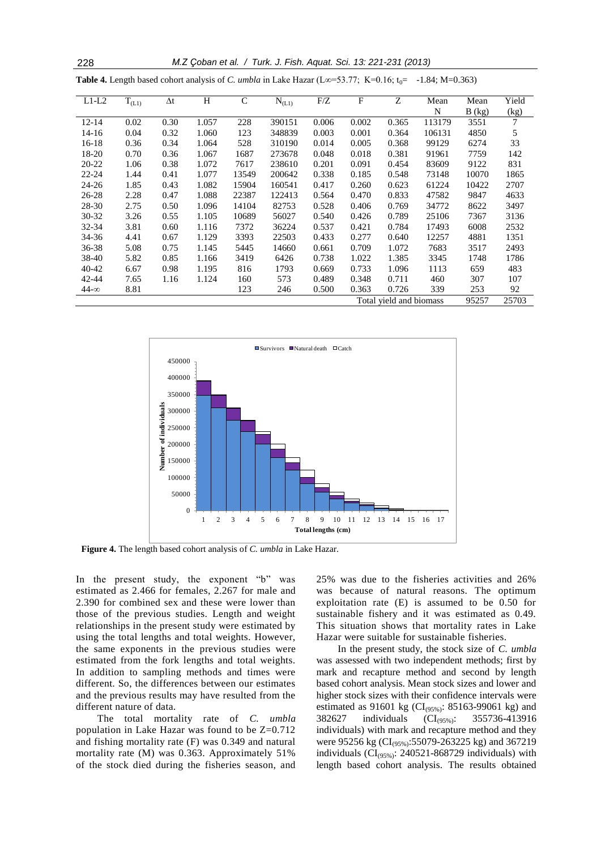228 *M.Z Çoban et al. / Turk. J. Fish. Aquat. Sci. 13: 221-231 (2013)*

| $L1-L2$     | $T_{(L1)}$              | $\Delta t$ | H     | $\mathsf{C}$ | $N_{(L1)}$ | F/Z   | F     | Z     | Mean   | Mean   | Yield |
|-------------|-------------------------|------------|-------|--------------|------------|-------|-------|-------|--------|--------|-------|
|             |                         |            |       |              |            |       |       |       | N      | B (kg) | (kg)  |
| $12 - 14$   | 0.02                    | 0.30       | 1.057 | 228          | 390151     | 0.006 | 0.002 | 0.365 | 113179 | 3551   | 7     |
| $14 - 16$   | 0.04                    | 0.32       | 1.060 | 123          | 348839     | 0.003 | 0.001 | 0.364 | 106131 | 4850   | 5     |
| $16-18$     | 0.36                    | 0.34       | 1.064 | 528          | 310190     | 0.014 | 0.005 | 0.368 | 99129  | 6274   | 33    |
| 18-20       | 0.70                    | 0.36       | 1.067 | 1687         | 273678     | 0.048 | 0.018 | 0.381 | 91961  | 7759   | 142   |
| $20 - 22$   | 1.06                    | 0.38       | 1.072 | 7617         | 238610     | 0.201 | 0.091 | 0.454 | 83609  | 9122   | 831   |
| $22 - 24$   | 1.44                    | 0.41       | 1.077 | 13549        | 200642     | 0.338 | 0.185 | 0.548 | 73148  | 10070  | 1865  |
| $24 - 26$   | 1.85                    | 0.43       | 1.082 | 15904        | 160541     | 0.417 | 0.260 | 0.623 | 61224  | 10422  | 2707  |
| $26 - 28$   | 2.28                    | 0.47       | 1.088 | 22387        | 122413     | 0.564 | 0.470 | 0.833 | 47582  | 9847   | 4633  |
| 28-30       | 2.75                    | 0.50       | 1.096 | 14104        | 82753      | 0.528 | 0.406 | 0.769 | 34772  | 8622   | 3497  |
| $30 - 32$   | 3.26                    | 0.55       | 1.105 | 10689        | 56027      | 0.540 | 0.426 | 0.789 | 25106  | 7367   | 3136  |
| 32-34       | 3.81                    | 0.60       | 1.116 | 7372         | 36224      | 0.537 | 0.421 | 0.784 | 17493  | 6008   | 2532  |
| 34-36       | 4.41                    | 0.67       | 1.129 | 3393         | 22503      | 0.433 | 0.277 | 0.640 | 12257  | 4881   | 1351  |
| 36-38       | 5.08                    | 0.75       | 1.145 | 5445         | 14660      | 0.661 | 0.709 | 1.072 | 7683   | 3517   | 2493  |
| 38-40       | 5.82                    | 0.85       | 1.166 | 3419         | 6426       | 0.738 | 1.022 | 1.385 | 3345   | 1748   | 1786  |
| $40 - 42$   | 6.67                    | 0.98       | 1.195 | 816          | 1793       | 0.669 | 0.733 | 1.096 | 1113   | 659    | 483   |
| 42-44       | 7.65                    | 1.16       | 1.124 | 160          | 573        | 0.489 | 0.348 | 0.711 | 460    | 307    | 107   |
| $44-\infty$ | 8.81                    |            |       | 123          | 246        | 0.500 | 0.363 | 0.726 | 339    | 253    | 92    |
|             | Total vield and biomass |            |       |              |            |       |       | 95257 | 25703  |        |       |





**Figure 4.** The length based cohort analysis of *C. umbla* in Lake Hazar.

In the present study, the exponent "b" was estimated as 2.466 for females, 2.267 for male and 2.390 for combined sex and these were lower than those of the previous studies. Length and weight relationships in the present study were estimated by using the total lengths and total weights. However, the same exponents in the previous studies were estimated from the fork lengths and total weights. In addition to sampling methods and times were different. So, the differences between our estimates and the previous results may have resulted from the different nature of data.

The total mortality rate of *C. umbla* population in Lake Hazar was found to be Z=0.712 and fishing mortality rate (F) was 0.349 and natural mortality rate (M) was 0.363. Approximately 51% of the stock died during the fisheries season, and

25% was due to the fisheries activities and 26% was because of natural reasons. The optimum exploitation rate (E) is assumed to be 0.50 for sustainable fishery and it was estimated as 0.49. This situation shows that mortality rates in Lake Hazar were suitable for sustainable fisheries.

In the present study, the stock size of *C. umbla* was assessed with two independent methods; first by mark and recapture method and second by length based cohort analysis. Mean stock sizes and lower and higher stock sizes with their confidence intervals were estimated as 91601 kg ( $CI_{(95\%)}$ : 85163-99061 kg) and 382627 individuals (CI(95%): 355736-413916 individuals) with mark and recapture method and they were 95256 kg (CI<sub>(95%)</sub>:55079-263225 kg) and 367219 individuals ( $CI_{(95\%)}$ : 240521-868729 individuals) with length based cohort analysis. The results obtained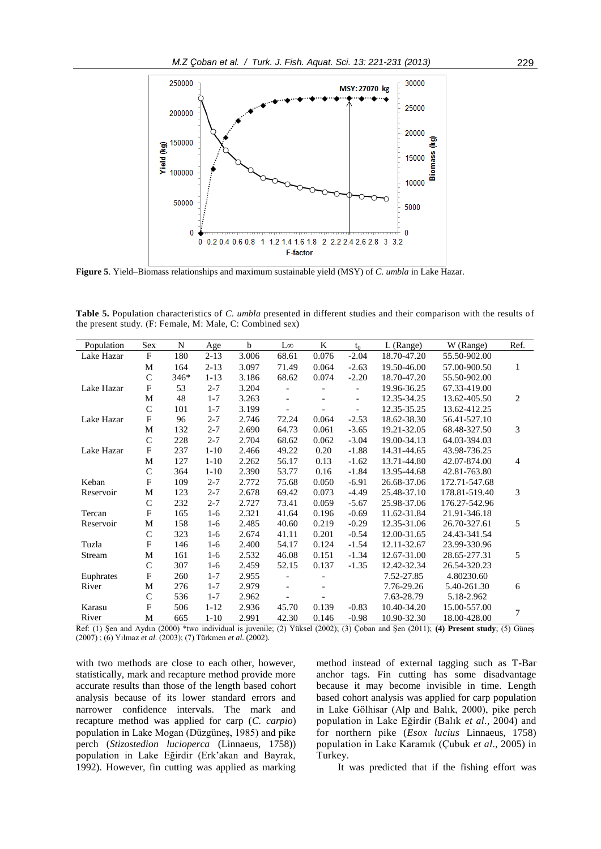

**Figure 5**. Yield–Biomass relationships and maximum sustainable yield (MSY) of *C. umbla* in Lake Hazar.

**Table 5.** Population characteristics of *C. umbla* presented in different studies and their comparison with the results of the present study. (F: Female, M: Male, C: Combined sex)

| Population                                                                                                                              | Sex                       | N    | Age      | $\mathbf b$ | $L\infty$                | K     | $t_0$                    | L (Range)   | W (Range)     | Ref. |
|-----------------------------------------------------------------------------------------------------------------------------------------|---------------------------|------|----------|-------------|--------------------------|-------|--------------------------|-------------|---------------|------|
| Lake Hazar                                                                                                                              | $\mathbf{F}$              | 180  | $2 - 13$ | 3.006       | 68.61                    | 0.076 | $-2.04$                  | 18.70-47.20 | 55.50-902.00  |      |
|                                                                                                                                         | M                         | 164  | $2 - 13$ | 3.097       | 71.49                    | 0.064 | $-2.63$                  | 19.50-46.00 | 57.00-900.50  | 1    |
|                                                                                                                                         | $\mathbf C$               | 346* | $1 - 13$ | 3.186       | 68.62                    | 0.074 | $-2.20$                  | 18.70-47.20 | 55.50-902.00  |      |
| Lake Hazar                                                                                                                              | $\boldsymbol{\mathrm{F}}$ | 53   | $2 - 7$  | 3.204       | $\overline{\phantom{0}}$ |       |                          | 19.96-36.25 | 67.33-419.00  |      |
|                                                                                                                                         | M                         | 48   | $1 - 7$  | 3.263       | $\overline{\phantom{a}}$ |       | $\overline{\phantom{a}}$ | 12.35-34.25 | 13.62-405.50  | 2    |
|                                                                                                                                         | $\mathbf C$               | 101  | $1 - 7$  | 3.199       |                          |       |                          | 12.35-35.25 | 13.62-412.25  |      |
| Lake Hazar                                                                                                                              | $\overline{F}$            | 96   | $2 - 7$  | 2.746       | 72.24                    | 0.064 | $-2.53$                  | 18.62-38.30 | 56.41-527.10  |      |
|                                                                                                                                         | M                         | 132  | $2 - 7$  | 2.690       | 64.73                    | 0.061 | $-3.65$                  | 19.21-32.05 | 68.48-327.50  | 3    |
|                                                                                                                                         | $\mathbf C$               | 228  | $2 - 7$  | 2.704       | 68.62                    | 0.062 | $-3.04$                  | 19.00-34.13 | 64.03-394.03  |      |
| Lake Hazar                                                                                                                              | $\boldsymbol{\mathrm{F}}$ | 237  | $1 - 10$ | 2.466       | 49.22                    | 0.20  | $-1.88$                  | 14.31-44.65 | 43.98-736.25  |      |
|                                                                                                                                         | M                         | 127  | $1 - 10$ | 2.262       | 56.17                    | 0.13  | $-1.62$                  | 13.71-44.80 | 42.07-874.00  | 4    |
|                                                                                                                                         | $\mathbf C$               | 364  | $1 - 10$ | 2.390       | 53.77                    | 0.16  | $-1.84$                  | 13.95-44.68 | 42.81-763.80  |      |
| Keban                                                                                                                                   | $\mathbf{F}$              | 109  | $2 - 7$  | 2.772       | 75.68                    | 0.050 | $-6.91$                  | 26.68-37.06 | 172.71-547.68 |      |
| Reservoir                                                                                                                               | M                         | 123  | $2 - 7$  | 2.678       | 69.42                    | 0.073 | $-4.49$                  | 25.48-37.10 | 178.81-519.40 | 3    |
|                                                                                                                                         | $\mathbf C$               | 232  | $2 - 7$  | 2.727       | 73.41                    | 0.059 | $-5.67$                  | 25.98-37.06 | 176.27-542.96 |      |
| Tercan                                                                                                                                  | $\mathbf F$               | 165  | $1-6$    | 2.321       | 41.64                    | 0.196 | $-0.69$                  | 11.62-31.84 | 21.91-346.18  |      |
| Reservoir                                                                                                                               | M                         | 158  | $1-6$    | 2.485       | 40.60                    | 0.219 | $-0.29$                  | 12.35-31.06 | 26.70-327.61  | 5    |
|                                                                                                                                         | $\mathbf C$               | 323  | $1-6$    | 2.674       | 41.11                    | 0.201 | $-0.54$                  | 12.00-31.65 | 24.43-341.54  |      |
| Tuzla                                                                                                                                   | $\overline{F}$            | 146  | $1-6$    | 2.400       | 54.17                    | 0.124 | $-1.54$                  | 12.11-32.67 | 23.99-330.96  |      |
| Stream                                                                                                                                  | M                         | 161  | $1-6$    | 2.532       | 46.08                    | 0.151 | $-1.34$                  | 12.67-31.00 | 28.65-277.31  | 5    |
|                                                                                                                                         | $\mathbf C$               | 307  | $1-6$    | 2.459       | 52.15                    | 0.137 | $-1.35$                  | 12.42-32.34 | 26.54-320.23  |      |
| Euphrates                                                                                                                               | $\overline{F}$            | 260  | $1 - 7$  | 2.955       | $\overline{\phantom{0}}$ |       |                          | 7.52-27.85  | 4.80230.60    |      |
| River                                                                                                                                   | M                         | 276  | $1 - 7$  | 2.979       |                          |       |                          | 7.76-29.26  | 5.40-261.30   | 6    |
|                                                                                                                                         | $\mathsf{C}$              | 536  | $1 - 7$  | 2.962       |                          |       |                          | 7.63-28.79  | 5.18-2.962    |      |
| Karasu                                                                                                                                  | $\overline{F}$            | 506  | $1 - 12$ | 2.936       | 45.70                    | 0.139 | $-0.83$                  | 10.40-34.20 | 15.00-557.00  | 7    |
| River                                                                                                                                   | M                         | 665  | $1 - 10$ | 2.991       | 42.30                    | 0.146 | $-0.98$                  | 10.90-32.30 | 18.00-428.00  |      |
| Şen and Aydın (2000) *two individual is juvenile; (2) Yüksel (2002); (3) Çoban and Şen (2011); (4) Present study; (5) Güneş<br>Ref: (1) |                           |      |          |             |                          |       |                          |             |               |      |

(2007) ; (6) Yılmaz *et al*. (2003); (7) Türkmen *et al*. (2002).

with two methods are close to each other, however, statistically, mark and recapture method provide more accurate results than those of the length based cohort analysis because of its lower standard errors and narrower confidence intervals. The mark and recapture method was applied for carp (*C. carpio*) population in Lake Mogan (Düzgüneş, 1985) and pike perch (*Stizostedion lucioperca* (Linnaeus, 1758)) population in Lake Eğirdir (Erk'akan and Bayrak, 1992). However, fin cutting was applied as marking method instead of external tagging such as T-Bar anchor tags. Fin cutting has some disadvantage because it may become invisible in time. Length based cohort analysis was applied for carp population in Lake Gölhisar (Alp and Balık, 2000), pike perch population in Lake Eğirdir (Balık *et al*., 2004) and for northern pike (*Esox lucius* Linnaeus, 1758) population in Lake Karamık (Çubuk *et al*., 2005) in Turkey.

It was predicted that if the fishing effort was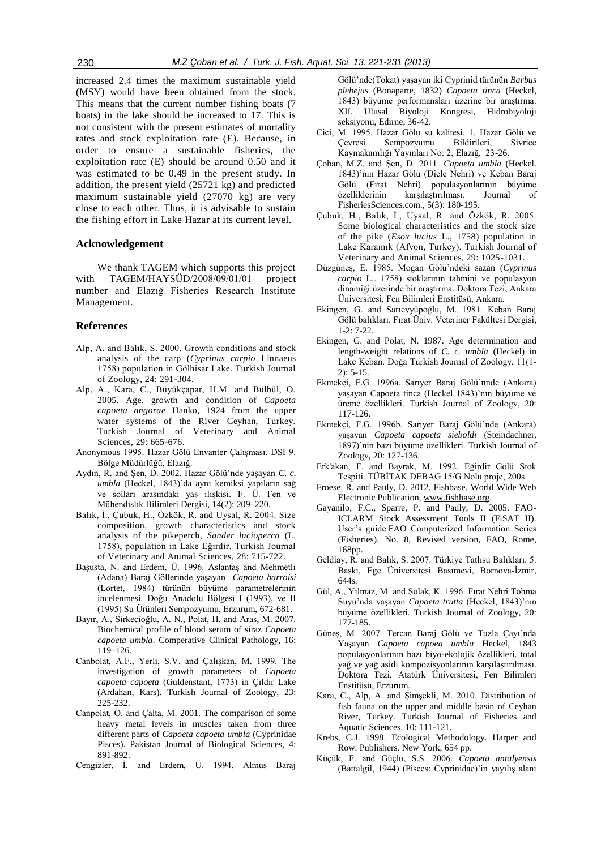increased 2.4 times the maximum sustainable yield (MSY) would have been obtained from the stock. This means that the current number fishing boats (7 boats) in the lake should be increased to 17. This is not consistent with the present estimates of mortality rates and stock exploitation rate (E). Because, in order to ensure a sustainable fisheries, the exploitation rate (E) should be around 0.50 and it was estimated to be 0.49 in the present study. In addition, the present yield (25721 kg) and predicted maximum sustainable yield (27070 kg) are very close to each other. Thus, it is advisable to sustain the fishing effort in Lake Hazar at its current level.

## **Acknowledgement**

We thank TAGEM which supports this project with TAGEM/HAYSÜD/2008/09/01/01 project number and Elazığ Fisheries Research Institute Management.

## **References**

- Alp, A. and Balık, S. 2000. Growth conditions and stock analysis of the carp (*Cyprinus carpio* Linnaeus 1758) population in Gölhisar Lake. Turkish Journal of Zoology, 24: 291-304.
- Alp, A., Kara, C., Büyükçapar, H.M. and Bülbül, O. 2005. Age, growth and condition of *Capoeta capoeta angorae* Hanko, 1924 from the upper water systems of the River Ceyhan, Turkey. Turkish Journal of Veterinary and Animal Sciences, 29: 665-676.
- Anonymous 1995. Hazar Gölü Envanter Çalışması. DSİ 9. Bölge Müdürlüğü, Elazığ.
- Aydın, R. and Şen, D. 2002. Hazar Gölü'nde yaşayan *C. c. umbla* (Heckel, 1843)'da aynı kemiksi yapıların sağ ve solları arasındaki yas ilişkisi. F. Ü. Fen ve Mühendislik Bilimleri Dergisi, 14(2): 209–220.
- Balık, İ., Çubuk, H., Özkök, R. and Uysal, R. 2004. Size composition, growth characteristics and stock analysis of the pikeperch, *Sander lucioperca* (L. 1758), population in Lake Eğirdir. Turkish Journal of Veterinary and Animal Sciences, 28: 715-722.
- Başusta, N. and Erdem, Ü. 1996. Aslantaş and Mehmetli (Adana) Baraj Göllerinde yaşayan *Capoeta barroisi* (Lortet, 1984) türünün büyüme parametrelerinin incelenmesi. Doğu Anadolu Bölgesi I (1993), ve II (1995) Su Ürünleri Sempozyumu, Erzurum, 672-681.
- Bayır, A., Sirkecioğlu, A. N., Polat, H. and Aras, M. 2007. Biochemical profile of blood serum of siraz *Capoeta capoeta umbla*. Comperative Clinical Pathology, 16: 119–126.
- Canbolat, A.F., Yerli, S.V. and Çalışkan, M. 1999. The investigation of growth parameters of *Capoeta capoeta capoeta* (Guldenstant, 1773) in Çıldır Lake (Ardahan, Kars). Turkish Journal of Zoology, 23: 225-232.
- Canpolat, Ö. and Çalta, M. 2001. The comparison of some heavy metal levels in muscles taken from three different parts of *Capoeta capoeta umbla* (Cyprinidae Pisces). Pakistan Journal of Biological Sciences, 4: 891-892.
- Cengizler, İ. and Erdem, Ü. 1994. Almus Baraj

Gölü'nde(Tokat) yaşayan iki Cyprinid türünün *Barbus plebejus* (Bonaparte, 1832) *Capoeta tinca* (Heckel, 1843) büyüme performansları üzerine bir araştırma. XII. Ulusal Biyoloji Kongresi, Hidrobiyoloji seksiyonu, Edirne, 36-42.

- Cici, M. 1995. Hazar Gölü su kalitesi. 1. Hazar Gölü ve Çevresi Sempozyumu Bildirileri, Sivrice Kaymakamlığı Yayınları No: 2, Elazığ, 23-26.
- Çoban, M.Z. and Şen, D. 2011. *Capoeta umbla* (Heckel. 1843)'nın Hazar Gölü (Dicle Nehri) ve Keban Baraj Gölü (Fırat Nehri) populasyonlarının büyüme özelliklerinin karşılaştırılması. Journal of FisheriesSciences.com., 5(3): 180-195.
- Çubuk, H., Balık, İ., Uysal, R. and Özkök, R. 2005. Some biological characteristics and the stock size of the pike (*Esox lucius* L., 1758) population in Lake Karamık (Afyon, Turkey). Turkish Journal of Veterinary and Animal Sciences, 29: 1025-1031.
- Düzgüneş, E. 1985. Mogan Gölü'ndeki sazan (*Cyprinus carpio* L.. 1758) stoklarının tahmini ve populasyon dinamiği üzerinde bir araştırma. Doktora Tezi, Ankara Üniversitesi, Fen Bilimleri Enstitüsü, Ankara.
- Ekingen, G. and Sarıeyyüpoğlu, M. 1981. Keban Baraj Gölü balıkları. Fırat Üniv. Veteriner Fakültesi Dergisi, 1-2: 7-22.
- Ekingen, G. and Polat, N. 1987. Age determination and length-weight relations of *C. c. umbla* (Heckel) in Lake Keban. Doğa Turkish Journal of Zoology, 11(1-  $2)$ : 5-15.
- Ekmekçi, F.G. 1996a. Sarıyer Baraj Gölü'nnde (Ankara) yaşayan Capoeta tinca (Heckel 1843)'nın büyüme ve üreme özellikleri. Turkish Journal of Zoology, 20: 117-126.
- Ekmekçi, F.G. 1996b. Sarıyer Baraj Gölü'nde (Ankara) yaşayan *Capoeta capoeta sieboldi* (Steindachner, 1897)'nin bazı büyüme özellikleri. Turkish Journal of Zoology, 20: 127-136.
- Erk'akan, F. and Bayrak, M. 1992. Eğirdir Gölü Stok Tespiti. TÜBİTAK DEBAG 15/G Nolu proje, 200s.
- Froese, R. and Pauly, D. 2012. Fishbase. World Wide Web Electronic Publication[, www.fishbase.org.](http://www.fishbase.org/)
- Gayanilo, F.C., Sparre, P. and Pauly, D. 2005. FAO-ICLARM Stock Assessment Tools II (FiSAT II). User's guide.FAO Computerized Information Series (Fisheries). No. 8, Revised version, FAO, Rome, 168pp.
- Geldiay, R. and Balık, S. 2007. Türkiye Tatlısu Balıkları. 5. Baskı, Ege Üniversitesi Basımevi, Bornova-İzmir, 644s.
- Gül, A., Yılmaz, M. and Solak, K. 1996. Fırat Nehri Tohma Suyu'nda yaşayan *Capoeta trutta* (Heckel, 1843)'nın büyüme özellikleri. Turkish Journal of Zoology, 20: 177-185.
- Güneş, M. 2007. Tercan Baraj Gölü ve Tuzla Çayı'nda Yaşayan *Capoeta capoea umbla* Heckel, 1843 populasyonlarının bazı biyo-ekolojik özellikleri. total yağ ve yağ asidi kompozisyonlarının karşılaştırılması. Doktora Tezi, Atatürk Üniversitesi, Fen Bilimleri Enstitüsü, Erzurum.
- Kara, C., Alp, A. and Şimşekli, M. 2010. Distribution of fish fauna on the upper and middle basin of Ceyhan River, Turkey. Turkish Journal of Fisheries and Aquatic Sciences, 10: 111-121.
- Krebs, C.J. 1998. Ecological Methodology. Harper and Row. Publishers. New York, 654 pp.
- Küçük, F. and Güçlü, S.S. 2006. *Capoeta antalyensis* (Battalgil, 1944) (Pisces: Cyprinidae)'in yayılış alanı